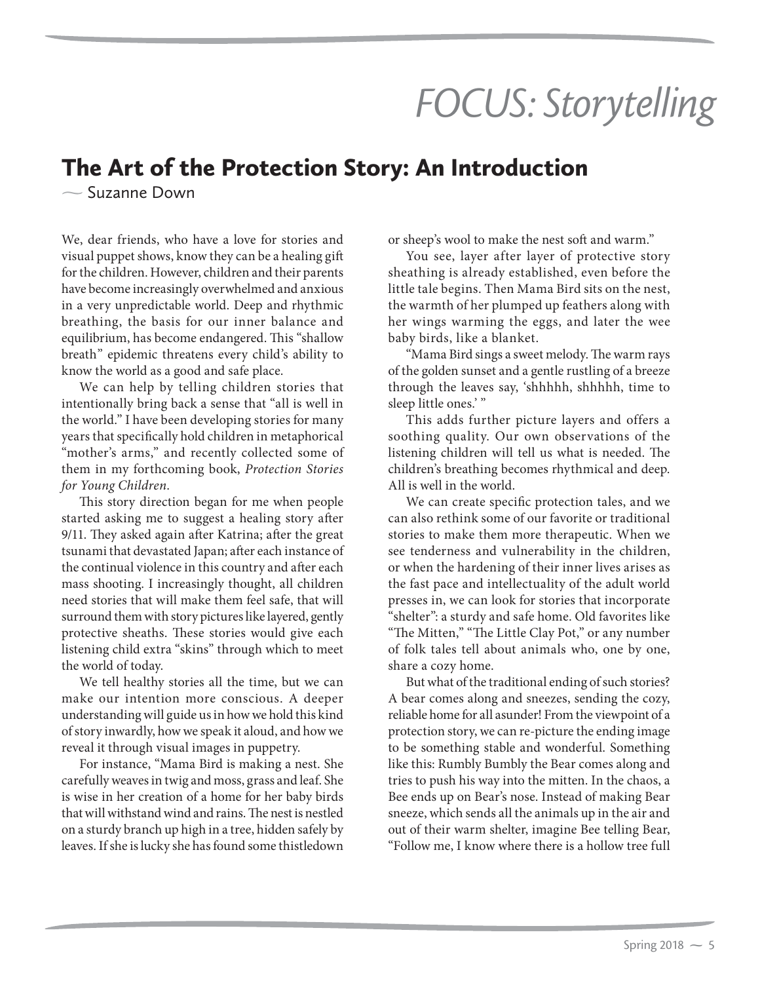## *FOCUS: Storytelling*

## The Art of the Protection Story: An Introduction

 $\sim$  Suzanne Down

We, dear friends, who have a love for stories and visual puppet shows, know they can be a healing gift for the children. However, children and their parents have become increasingly overwhelmed and anxious in a very unpredictable world. Deep and rhythmic breathing, the basis for our inner balance and equilibrium, has become endangered. This "shallow breath" epidemic threatens every child's ability to know the world as a good and safe place.

We can help by telling children stories that intentionally bring back a sense that "all is well in the world." I have been developing stories for many years that specifically hold children in metaphorical "mother's arms," and recently collected some of them in my forthcoming book, *Protection Stories for Young Children*.

This story direction began for me when people started asking me to suggest a healing story after 9/11. They asked again after Katrina; after the great tsunami that devastated Japan; after each instance of the continual violence in this country and after each mass shooting. I increasingly thought, all children need stories that will make them feel safe, that will surround them with story pictures like layered, gently protective sheaths. These stories would give each listening child extra "skins" through which to meet the world of today.

We tell healthy stories all the time, but we can make our intention more conscious. A deeper understanding will guide us in how we hold this kind of story inwardly, how we speak it aloud, and how we reveal it through visual images in puppetry.

For instance, "Mama Bird is making a nest. She carefully weaves in twig and moss, grass and leaf. She is wise in her creation of a home for her baby birds that will withstand wind and rains. The nest is nestled on a sturdy branch up high in a tree, hidden safely by leaves. If she is lucky she has found some thistledown

or sheep's wool to make the nest soft and warm."

You see, layer after layer of protective story sheathing is already established, even before the little tale begins. Then Mama Bird sits on the nest, the warmth of her plumped up feathers along with her wings warming the eggs, and later the wee baby birds, like a blanket.

"Mama Bird sings a sweet melody. The warm rays of the golden sunset and a gentle rustling of a breeze through the leaves say, 'shhhhh, shhhhh, time to sleep little ones.' "

This adds further picture layers and offers a soothing quality. Our own observations of the listening children will tell us what is needed. The children's breathing becomes rhythmical and deep. All is well in the world.

We can create specific protection tales, and we can also rethink some of our favorite or traditional stories to make them more therapeutic. When we see tenderness and vulnerability in the children, or when the hardening of their inner lives arises as the fast pace and intellectuality of the adult world presses in, we can look for stories that incorporate "shelter": a sturdy and safe home. Old favorites like "The Mitten," "The Little Clay Pot," or any number of folk tales tell about animals who, one by one, share a cozy home.

But what of the traditional ending of such stories? A bear comes along and sneezes, sending the cozy, reliable home for all asunder! From the viewpoint of a protection story, we can re-picture the ending image to be something stable and wonderful. Something like this: Rumbly Bumbly the Bear comes along and tries to push his way into the mitten. In the chaos, a Bee ends up on Bear's nose. Instead of making Bear sneeze, which sends all the animals up in the air and out of their warm shelter, imagine Bee telling Bear, "Follow me, I know where there is a hollow tree full